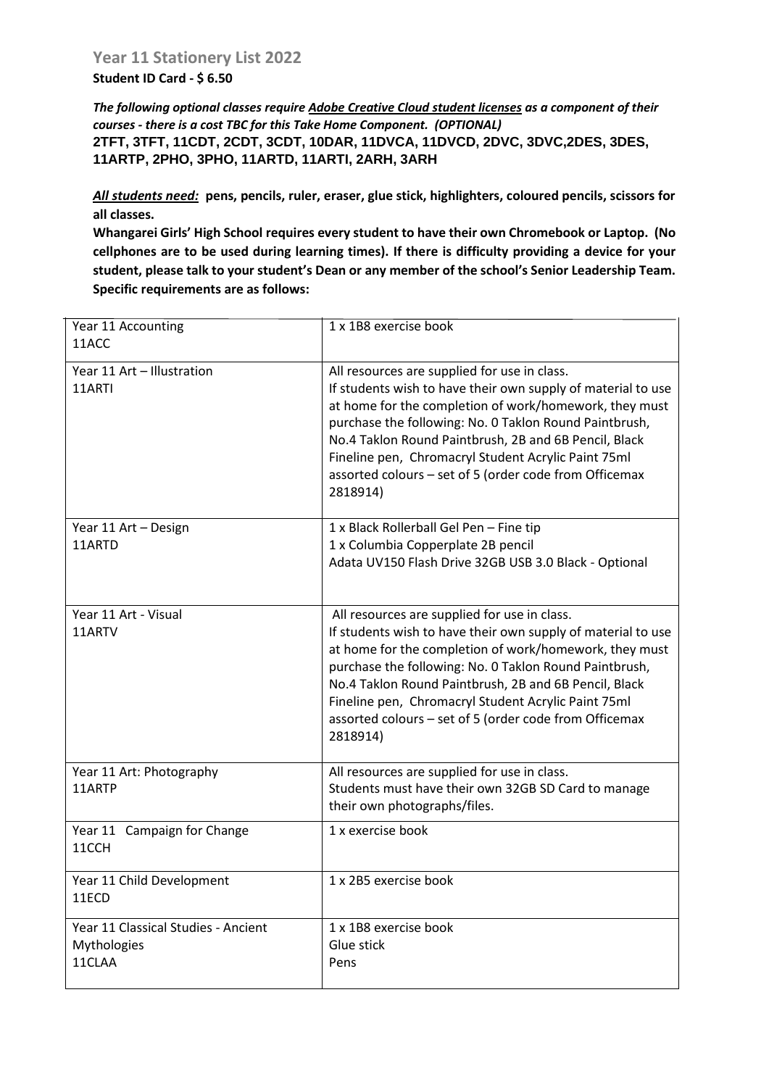## **Student ID Card - \$ 6.50**

*The following optional classes require Adobe Creative Cloud student licenses as a component of their courses - there is a cost TBC for this Take Home Component. (OPTIONAL)* **2TFT, 3TFT, 11CDT, 2CDT, 3CDT, 10DAR, 11DVCA, 11DVCD, 2DVC, 3DVC,2DES, 3DES, 11ARTP, 2PHO, 3PHO, 11ARTD, 11ARTI, 2ARH, 3ARH**

*All students need:* **pens, pencils, ruler, eraser, glue stick, highlighters, coloured pencils, scissors for all classes.** 

**Whangarei Girls' High School requires every student to have their own Chromebook or Laptop. (No cellphones are to be used during learning times). If there is difficulty providing a device for your student, please talk to your student's Dean or any member of the school's Senior Leadership Team. Specific requirements are as follows:**

| Year 11 Accounting<br>11ACC                                  | 1 x 1B8 exercise book                                                                                                                                                                                                                                                                                                                                                                                                  |
|--------------------------------------------------------------|------------------------------------------------------------------------------------------------------------------------------------------------------------------------------------------------------------------------------------------------------------------------------------------------------------------------------------------------------------------------------------------------------------------------|
| Year 11 Art - Illustration<br>11ARTI                         | All resources are supplied for use in class.<br>If students wish to have their own supply of material to use<br>at home for the completion of work/homework, they must<br>purchase the following: No. 0 Taklon Round Paintbrush,<br>No.4 Taklon Round Paintbrush, 2B and 6B Pencil, Black<br>Fineline pen, Chromacryl Student Acrylic Paint 75ml<br>assorted colours - set of 5 (order code from Officemax<br>2818914) |
| Year 11 Art - Design<br>11ARTD                               | 1 x Black Rollerball Gel Pen - Fine tip<br>1 x Columbia Copperplate 2B pencil<br>Adata UV150 Flash Drive 32GB USB 3.0 Black - Optional                                                                                                                                                                                                                                                                                 |
| Year 11 Art - Visual<br>11ARTV                               | All resources are supplied for use in class.<br>If students wish to have their own supply of material to use<br>at home for the completion of work/homework, they must<br>purchase the following: No. 0 Taklon Round Paintbrush,<br>No.4 Taklon Round Paintbrush, 2B and 6B Pencil, Black<br>Fineline pen, Chromacryl Student Acrylic Paint 75ml<br>assorted colours - set of 5 (order code from Officemax<br>2818914) |
| Year 11 Art: Photography<br>11ARTP                           | All resources are supplied for use in class.<br>Students must have their own 32GB SD Card to manage<br>their own photographs/files.                                                                                                                                                                                                                                                                                    |
| Year 11 Campaign for Change<br>11CCH                         | 1 x exercise book                                                                                                                                                                                                                                                                                                                                                                                                      |
| Year 11 Child Development<br>11ECD                           | 1 x 2B5 exercise book                                                                                                                                                                                                                                                                                                                                                                                                  |
| Year 11 Classical Studies - Ancient<br>Mythologies<br>11CLAA | 1 x 1B8 exercise book<br>Glue stick<br>Pens                                                                                                                                                                                                                                                                                                                                                                            |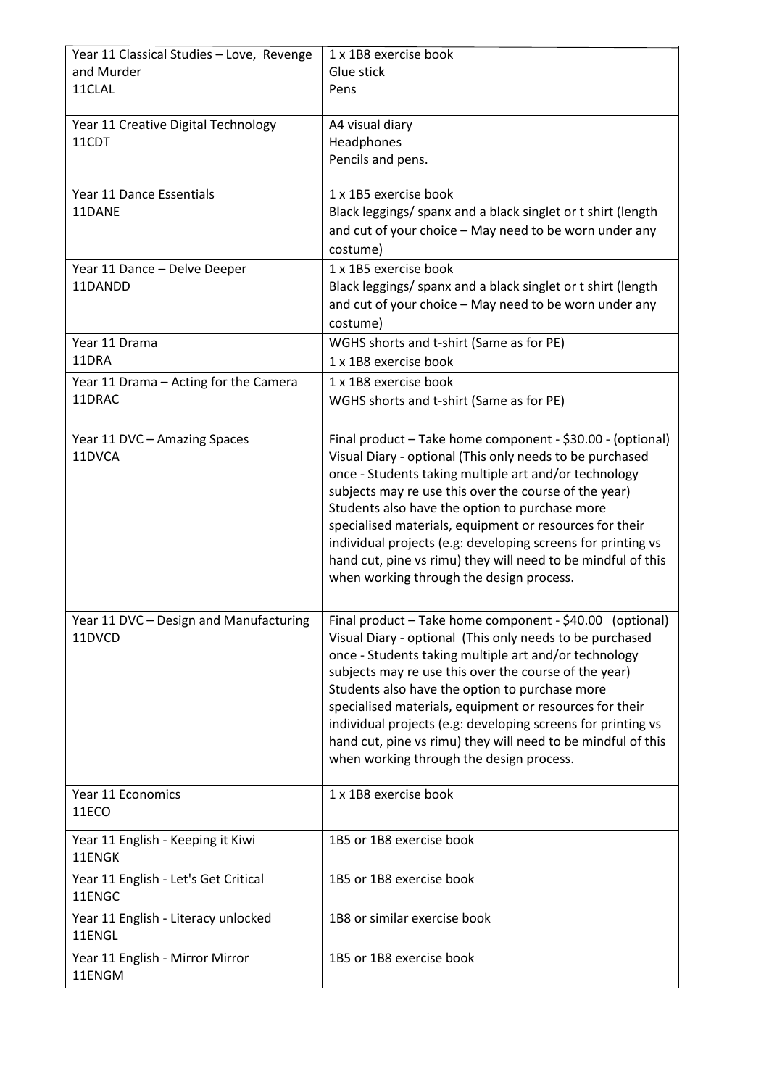| Year 11 Classical Studies - Love, Revenge | 1 x 1B8 exercise book                                        |
|-------------------------------------------|--------------------------------------------------------------|
| and Murder                                | Glue stick                                                   |
| 11CLAL                                    | Pens                                                         |
|                                           |                                                              |
| Year 11 Creative Digital Technology       | A4 visual diary                                              |
| 11CDT                                     |                                                              |
|                                           | Headphones                                                   |
|                                           | Pencils and pens.                                            |
|                                           |                                                              |
| Year 11 Dance Essentials                  | 1 x 1B5 exercise book                                        |
| 11DANE                                    | Black leggings/ spanx and a black singlet or t shirt (length |
|                                           | and cut of your choice - May need to be worn under any       |
|                                           | costume)                                                     |
| Year 11 Dance - Delve Deeper              | 1 x 1B5 exercise book                                        |
|                                           |                                                              |
| 11DANDD                                   | Black leggings/ spanx and a black singlet or t shirt (length |
|                                           | and cut of your choice - May need to be worn under any       |
|                                           | costume)                                                     |
| Year 11 Drama                             | WGHS shorts and t-shirt (Same as for PE)                     |
| 11DRA                                     | 1 x 1B8 exercise book                                        |
|                                           | 1 x 1B8 exercise book                                        |
| Year 11 Drama - Acting for the Camera     |                                                              |
| 11DRAC                                    | WGHS shorts and t-shirt (Same as for PE)                     |
|                                           |                                                              |
| Year 11 DVC - Amazing Spaces              | Final product - Take home component - \$30.00 - (optional)   |
| 11DVCA                                    | Visual Diary - optional (This only needs to be purchased     |
|                                           | once - Students taking multiple art and/or technology        |
|                                           | subjects may re use this over the course of the year)        |
|                                           | Students also have the option to purchase more               |
|                                           |                                                              |
|                                           | specialised materials, equipment or resources for their      |
|                                           | individual projects (e.g: developing screens for printing vs |
|                                           | hand cut, pine vs rimu) they will need to be mindful of this |
|                                           | when working through the design process.                     |
|                                           |                                                              |
| Year 11 DVC - Design and Manufacturing    | Final product - Take home component - \$40.00                |
|                                           | (optional)                                                   |
| 11DVCD                                    | Visual Diary - optional (This only needs to be purchased     |
|                                           | once - Students taking multiple art and/or technology        |
|                                           | subjects may re use this over the course of the year)        |
|                                           | Students also have the option to purchase more               |
|                                           | specialised materials, equipment or resources for their      |
|                                           | individual projects (e.g: developing screens for printing vs |
|                                           | hand cut, pine vs rimu) they will need to be mindful of this |
|                                           | when working through the design process.                     |
|                                           |                                                              |
|                                           |                                                              |
| Year 11 Economics                         | 1 x 1B8 exercise book                                        |
| 11ECO                                     |                                                              |
| Year 11 English - Keeping it Kiwi         | 1B5 or 1B8 exercise book                                     |
| 11ENGK                                    |                                                              |
|                                           |                                                              |
| Year 11 English - Let's Get Critical      | 1B5 or 1B8 exercise book                                     |
| 11ENGC                                    |                                                              |
| Year 11 English - Literacy unlocked       | 1B8 or similar exercise book                                 |
| 11ENGL                                    |                                                              |
|                                           |                                                              |
| Year 11 English - Mirror Mirror           | 1B5 or 1B8 exercise book                                     |
| 11ENGM                                    |                                                              |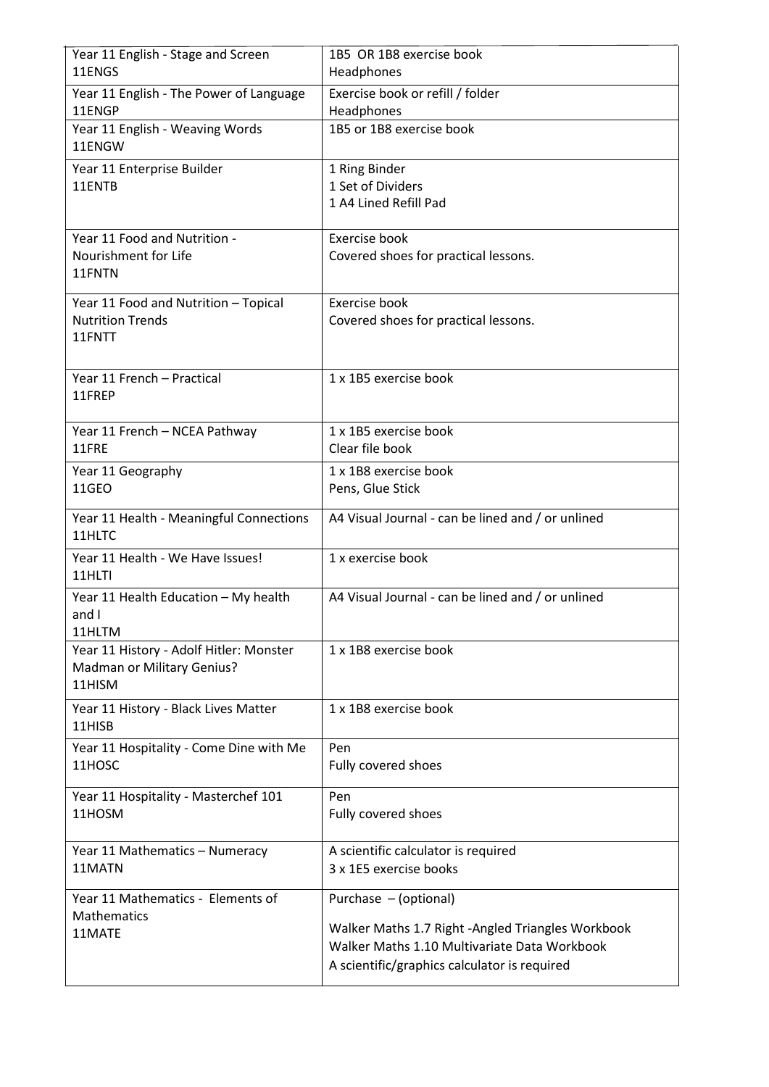| Year 11 English - Stage and Screen<br>11ENGS      | 1B5 OR 1B8 exercise book<br>Headphones            |
|---------------------------------------------------|---------------------------------------------------|
|                                                   |                                                   |
| Year 11 English - The Power of Language<br>11ENGP | Exercise book or refill / folder<br>Headphones    |
| Year 11 English - Weaving Words<br>11ENGW         | 1B5 or 1B8 exercise book                          |
| Year 11 Enterprise Builder                        | 1 Ring Binder                                     |
| 11ENTB                                            | 1 Set of Dividers<br>1 A4 Lined Refill Pad        |
|                                                   |                                                   |
| Year 11 Food and Nutrition -                      | Exercise book                                     |
| Nourishment for Life<br>11FNTN                    | Covered shoes for practical lessons.              |
|                                                   |                                                   |
| Year 11 Food and Nutrition - Topical              | Exercise book                                     |
| <b>Nutrition Trends</b><br>11FNTT                 | Covered shoes for practical lessons.              |
|                                                   |                                                   |
| Year 11 French - Practical                        | 1 x 1B5 exercise book                             |
| 11FREP                                            |                                                   |
| Year 11 French - NCEA Pathway                     | 1 x 1B5 exercise book                             |
| 11FRE                                             | Clear file book                                   |
| Year 11 Geography                                 | 1 x 1B8 exercise book                             |
| 11GEO                                             | Pens, Glue Stick                                  |
| Year 11 Health - Meaningful Connections<br>11HLTC | A4 Visual Journal - can be lined and / or unlined |
| Year 11 Health - We Have Issues!                  | 1 x exercise book                                 |
| 11HLTI                                            |                                                   |
| Year 11 Health Education - My health              | A4 Visual Journal - can be lined and / or unlined |
| and I<br>11HLTM                                   |                                                   |
| Year 11 History - Adolf Hitler: Monster           | 1 x 1B8 exercise book                             |
| Madman or Military Genius?                        |                                                   |
| 11HISM                                            |                                                   |
| Year 11 History - Black Lives Matter<br>11HISB    | 1 x 1B8 exercise book                             |
| Year 11 Hospitality - Come Dine with Me           | Pen                                               |
| 11HOSC                                            | Fully covered shoes                               |
|                                                   | Pen                                               |
| Year 11 Hospitality - Masterchef 101<br>11HOSM    | Fully covered shoes                               |
|                                                   |                                                   |
| Year 11 Mathematics - Numeracy                    | A scientific calculator is required               |
| 11MATN                                            | 3 x 1E5 exercise books                            |
| Year 11 Mathematics - Elements of                 | Purchase - (optional)                             |
| <b>Mathematics</b><br>11MATE                      | Walker Maths 1.7 Right -Angled Triangles Workbook |
|                                                   | Walker Maths 1.10 Multivariate Data Workbook      |
|                                                   | A scientific/graphics calculator is required      |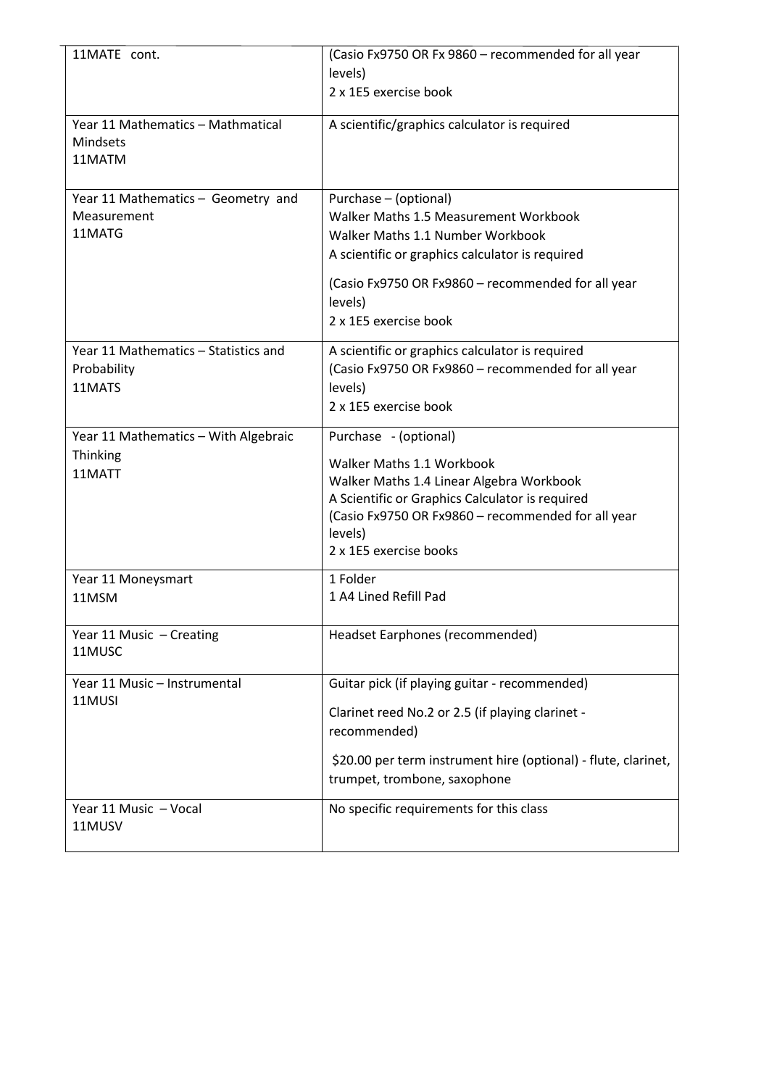| 11MATE cont.                         | (Casio Fx9750 OR Fx 9860 - recommended for all year            |
|--------------------------------------|----------------------------------------------------------------|
|                                      | levels)                                                        |
|                                      | 2 x 1E5 exercise book                                          |
| Year 11 Mathematics - Mathmatical    | A scientific/graphics calculator is required                   |
| Mindsets                             |                                                                |
| 11MATM                               |                                                                |
|                                      |                                                                |
| Year 11 Mathematics - Geometry and   | Purchase - (optional)                                          |
| Measurement                          | Walker Maths 1.5 Measurement Workbook                          |
| 11MATG                               | Walker Maths 1.1 Number Workbook                               |
|                                      | A scientific or graphics calculator is required                |
|                                      | (Casio Fx9750 OR Fx9860 - recommended for all year             |
|                                      | levels)                                                        |
|                                      | 2 x 1E5 exercise book                                          |
|                                      |                                                                |
| Year 11 Mathematics - Statistics and | A scientific or graphics calculator is required                |
| Probability                          | (Casio Fx9750 OR Fx9860 - recommended for all year             |
| 11MATS                               | levels)<br>2 x 1E5 exercise book                               |
|                                      |                                                                |
| Year 11 Mathematics - With Algebraic | Purchase - (optional)                                          |
| Thinking                             | Walker Maths 1.1 Workbook                                      |
| 11MATT                               | Walker Maths 1.4 Linear Algebra Workbook                       |
|                                      | A Scientific or Graphics Calculator is required                |
|                                      | (Casio Fx9750 OR Fx9860 - recommended for all year             |
|                                      | levels)                                                        |
|                                      | 2 x 1E5 exercise books                                         |
| Year 11 Moneysmart                   | 1 Folder                                                       |
| 11MSM                                | 1 A4 Lined Refill Pad                                          |
|                                      |                                                                |
| Year 11 Music - Creating             | Headset Earphones (recommended)                                |
| 11MUSC                               |                                                                |
| Year 11 Music - Instrumental         | Guitar pick (if playing guitar - recommended)                  |
| 11MUSI                               | Clarinet reed No.2 or 2.5 (if playing clarinet -               |
|                                      | recommended)                                                   |
|                                      | \$20.00 per term instrument hire (optional) - flute, clarinet, |
|                                      | trumpet, trombone, saxophone                                   |
| Year 11 Music - Vocal                | No specific requirements for this class                        |
| 11MUSV                               |                                                                |
|                                      |                                                                |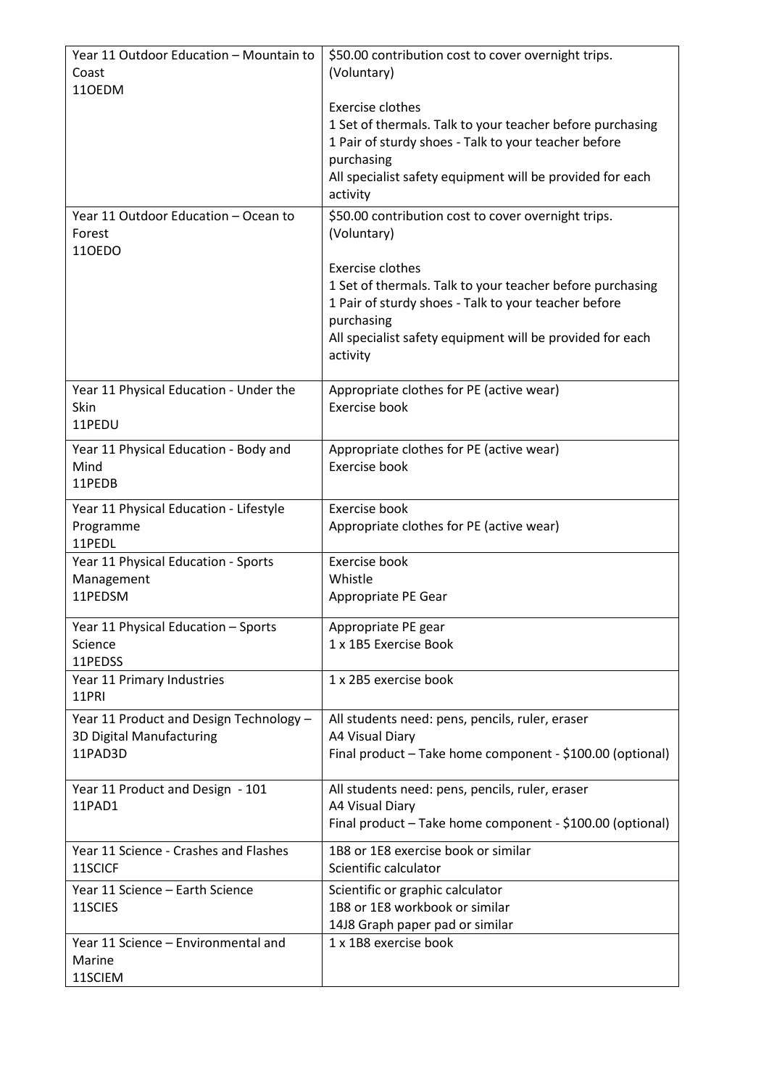| Year 11 Outdoor Education - Mountain to             | \$50.00 contribution cost to cover overnight trips.                           |
|-----------------------------------------------------|-------------------------------------------------------------------------------|
| Coast<br>110EDM                                     | (Voluntary)                                                                   |
|                                                     | Exercise clothes                                                              |
|                                                     | 1 Set of thermals. Talk to your teacher before purchasing                     |
|                                                     | 1 Pair of sturdy shoes - Talk to your teacher before                          |
|                                                     | purchasing<br>All specialist safety equipment will be provided for each       |
|                                                     | activity                                                                      |
| Year 11 Outdoor Education - Ocean to                | \$50.00 contribution cost to cover overnight trips.                           |
| Forest                                              | (Voluntary)                                                                   |
| 110EDO                                              |                                                                               |
|                                                     | Exercise clothes<br>1 Set of thermals. Talk to your teacher before purchasing |
|                                                     | 1 Pair of sturdy shoes - Talk to your teacher before                          |
|                                                     | purchasing                                                                    |
|                                                     | All specialist safety equipment will be provided for each                     |
|                                                     | activity                                                                      |
| Year 11 Physical Education - Under the              | Appropriate clothes for PE (active wear)                                      |
| Skin                                                | Exercise book                                                                 |
| 11PEDU                                              |                                                                               |
| Year 11 Physical Education - Body and               | Appropriate clothes for PE (active wear)                                      |
| Mind<br>11PEDB                                      | Exercise book                                                                 |
|                                                     | Exercise book                                                                 |
| Year 11 Physical Education - Lifestyle<br>Programme | Appropriate clothes for PE (active wear)                                      |
| 11PEDL                                              |                                                                               |
| Year 11 Physical Education - Sports                 | Exercise book                                                                 |
| Management<br>11PEDSM                               | Whistle                                                                       |
|                                                     | Appropriate PE Gear                                                           |
| Year 11 Physical Education - Sports                 | Appropriate PE gear                                                           |
| Science<br>11PEDSS                                  | 1 x 1B5 Exercise Book                                                         |
| Year 11 Primary Industries                          | 1 x 2B5 exercise book                                                         |
| 11PRI                                               |                                                                               |
| Year 11 Product and Design Technology -             | All students need: pens, pencils, ruler, eraser                               |
| 3D Digital Manufacturing                            | A4 Visual Diary                                                               |
| 11PAD3D                                             | Final product - Take home component - \$100.00 (optional)                     |
| Year 11 Product and Design - 101                    | All students need: pens, pencils, ruler, eraser                               |
| 11PAD1                                              | A4 Visual Diary                                                               |
|                                                     | Final product - Take home component - \$100.00 (optional)                     |
| Year 11 Science - Crashes and Flashes               | 1B8 or 1E8 exercise book or similar                                           |
| 11SCICF                                             | Scientific calculator                                                         |
| Year 11 Science - Earth Science<br>11SCIES          | Scientific or graphic calculator<br>1B8 or 1E8 workbook or similar            |
|                                                     | 14J8 Graph paper pad or similar                                               |
| Year 11 Science - Environmental and                 | 1 x 1B8 exercise book                                                         |
| Marine                                              |                                                                               |
| 11SCIEM                                             |                                                                               |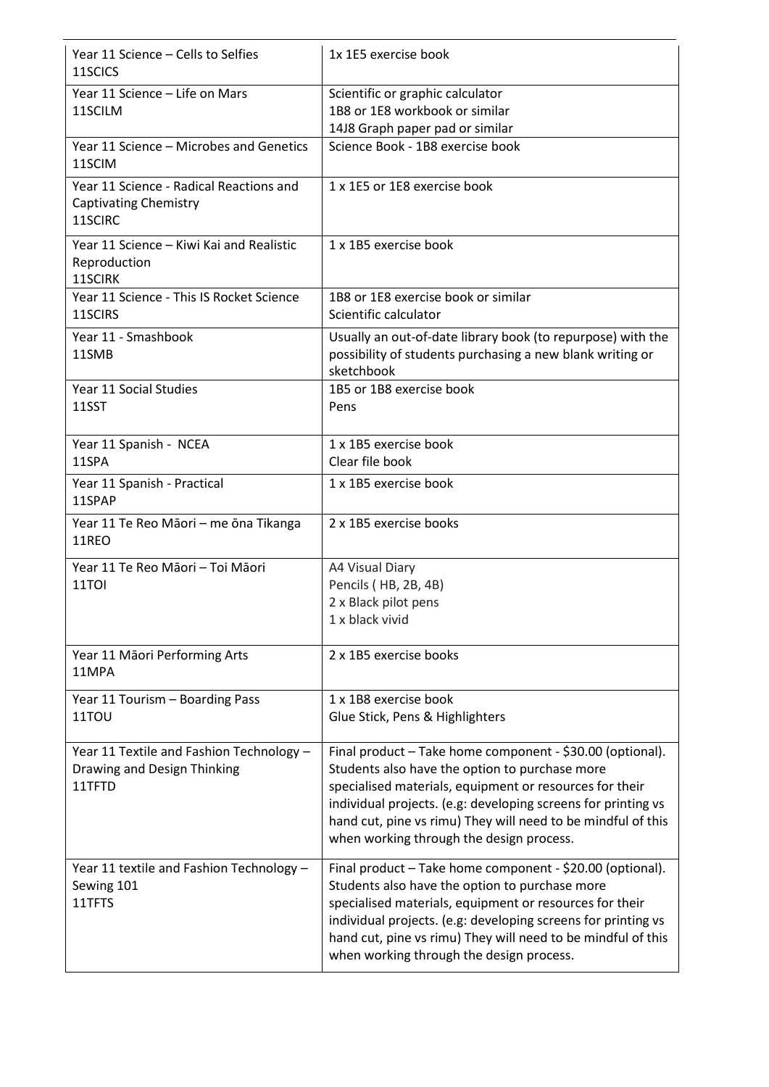| Year 11 Science – Cells to Selfies<br>11SCICS                                      | 1x 1E5 exercise book                                                                                                                                                                                                                                                                                                                                |
|------------------------------------------------------------------------------------|-----------------------------------------------------------------------------------------------------------------------------------------------------------------------------------------------------------------------------------------------------------------------------------------------------------------------------------------------------|
| Year 11 Science - Life on Mars<br>11SCILM                                          | Scientific or graphic calculator<br>1B8 or 1E8 workbook or similar<br>14J8 Graph paper pad or similar                                                                                                                                                                                                                                               |
| Year 11 Science - Microbes and Genetics<br>11SCIM                                  | Science Book - 1B8 exercise book                                                                                                                                                                                                                                                                                                                    |
| Year 11 Science - Radical Reactions and<br><b>Captivating Chemistry</b><br>11SCIRC | 1 x 1E5 or 1E8 exercise book                                                                                                                                                                                                                                                                                                                        |
| Year 11 Science - Kiwi Kai and Realistic<br>Reproduction<br>11SCIRK                | 1 x 1B5 exercise book                                                                                                                                                                                                                                                                                                                               |
| Year 11 Science - This IS Rocket Science<br>11SCIRS                                | 1B8 or 1E8 exercise book or similar<br>Scientific calculator                                                                                                                                                                                                                                                                                        |
| Year 11 - Smashbook<br>11SMB                                                       | Usually an out-of-date library book (to repurpose) with the<br>possibility of students purchasing a new blank writing or<br>sketchbook                                                                                                                                                                                                              |
| Year 11 Social Studies<br>11SST                                                    | 1B5 or 1B8 exercise book<br>Pens                                                                                                                                                                                                                                                                                                                    |
| Year 11 Spanish - NCEA<br>11SPA                                                    | 1 x 1B5 exercise book<br>Clear file book                                                                                                                                                                                                                                                                                                            |
| Year 11 Spanish - Practical<br>11SPAP                                              | 1 x 1B5 exercise book                                                                                                                                                                                                                                                                                                                               |
| Year 11 Te Reo Māori - me ōna Tikanga<br>11REO                                     | 2 x 1B5 exercise books                                                                                                                                                                                                                                                                                                                              |
| Year 11 Te Reo Māori - Toi Māori<br>11TOI                                          | A4 Visual Diary<br>Pencils (HB, 2B, 4B)<br>2 x Black pilot pens<br>1 x black vivid                                                                                                                                                                                                                                                                  |
| Year 11 Māori Performing Arts<br>11MPA                                             | 2 x 1B5 exercise books                                                                                                                                                                                                                                                                                                                              |
| Year 11 Tourism - Boarding Pass<br>11TOU                                           | 1 x 1B8 exercise book<br>Glue Stick, Pens & Highlighters                                                                                                                                                                                                                                                                                            |
| Year 11 Textile and Fashion Technology -<br>Drawing and Design Thinking<br>11TFTD  | Final product - Take home component - \$30.00 (optional).<br>Students also have the option to purchase more<br>specialised materials, equipment or resources for their<br>individual projects. (e.g: developing screens for printing vs<br>hand cut, pine vs rimu) They will need to be mindful of this<br>when working through the design process. |
| Year 11 textile and Fashion Technology -<br>Sewing 101<br>11TFTS                   | Final product - Take home component - \$20.00 (optional).<br>Students also have the option to purchase more<br>specialised materials, equipment or resources for their<br>individual projects. (e.g: developing screens for printing vs<br>hand cut, pine vs rimu) They will need to be mindful of this<br>when working through the design process. |